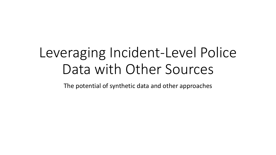# Leveraging Incident-Level Police Data with Other Sources

The potential of synthetic data and other approaches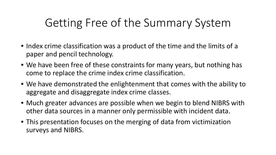#### Getting Free of the Summary System

- Index crime classification was a product of the time and the limits of a paper and pencil technology.
- We have been free of these constraints for many years, but nothing has come to replace the crime index crime classification.
- We have demonstrated the enlightenment that comes with the ability to aggregate and disaggregate index crime classes.
- Much greater advances are possible when we begin to blend NIBRS with other data sources in a manner only permissible with incident data.
- This presentation focuses on the merging of data from victimization surveys and NIBRS.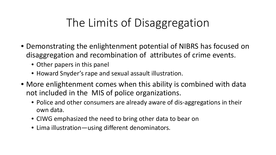## The Limits of Disaggregation

- Demonstrating the enlightenment potential of NIBRS has focused on disaggregation and recombination of attributes of crime events.
	- Other papers in this panel
	- Howard Snyder's rape and sexual assault illustration.
- More enlightenment comes when this ability is combined with data not included in the MIS of police organizations.
	- Police and other consumers are already aware of dis-aggregations in their own data.
	- CIWG emphasized the need to bring other data to bear on
	- Lima illustration—using different denominators.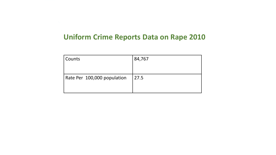#### **Uniform Crime Reports Data on Rape 2010**

| Counts                      | 84,767 |
|-----------------------------|--------|
| Rate Per 100,000 population | 27.5   |
|                             |        |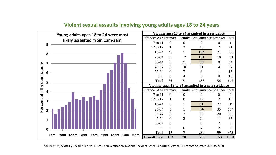

#### **Violent sexual assaults involving young adults ages 18 to 24 years**

Source: BJS analysis of : Federal Bureau of Investigation, National Incident Based Reporting System, Full reporting states 2006 to 2008.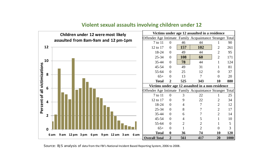

#### **Violent sexual assaults involving children under 12**

Source: BJS analysis of data from the FBI's National Incident Based Reporting System, 2006 to 2008.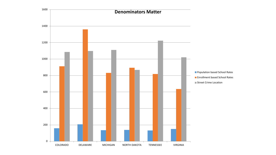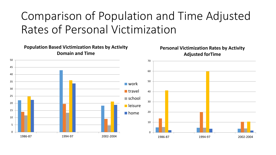## Comparison of Population and Time Adjusted Rates of Personal Victimization

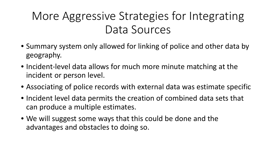## More Aggressive Strategies for Integrating Data Sources

- Summary system only allowed for linking of police and other data by geography.
- Incident-level data allows for much more minute matching at the incident or person level.
- Associating of police records with external data was estimate specific
- Incident level data permits the creation of combined data sets that can produce a multiple estimates.
- We will suggest some ways that this could be done and the advantages and obstacles to doing so.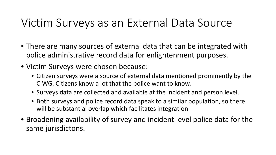#### Victim Surveys as an External Data Source

- There are many sources of external data that can be integrated with police administrative record data for enlightenment purposes.
- Victim Surveys were chosen because:
	- Citizen surveys were a source of external data mentioned prominently by the CIWG. Citizens know a lot that the police want to know.
	- Surveys data are collected and available at the incident and person level.
	- Both surveys and police record data speak to a similar population, so there will be substantial overlap which facilitates integration
- Broadening availability of survey and incident level police data for the same jurisdictons.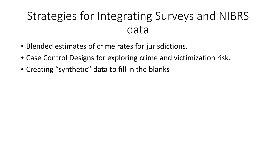## Strategies for Integrating Surveys and NIBRS data

- Blended estimates of crime rates for jurisdictions.
- Case Control Designs for exploring crime and victimization risk.
- Creating "synthetic" data to fill in the blanks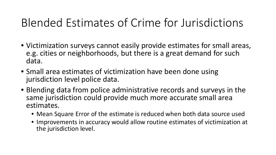#### Blended Estimates of Crime for Jurisdictions

- Victimization surveys cannot easily provide estimates for small areas, e.g. cities or neighborhoods, but there is a great demand for such data.
- Small area estimates of victimization have been done using jurisdiction level police data.
- Blending data from police administrative records and surveys in the same jurisdiction could provide much more accurate small area estimates.
	- Mean Square Error of the estimate is reduced when both data source used
	- Improvements in accuracy would allow routine estimates of victimization at the jurisdiction level.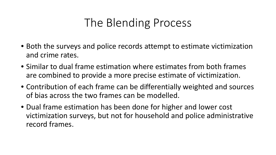#### The Blending Process

- Both the surveys and police records attempt to estimate victimization and crime rates.
- Similar to dual frame estimation where estimates from both frames are combined to provide a more precise estimate of victimization.
- Contribution of each frame can be differentially weighted and sources of bias across the two frames can be modelled.
- Dual frame estimation has been done for higher and lower cost victimization surveys, but not for household and police administrative record frames.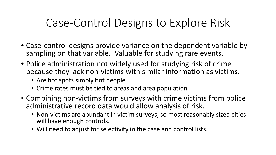#### Case-Control Designs to Explore Risk

- Case-control designs provide variance on the dependent variable by sampling on that variable. Valuable for studying rare events.
- Police administration not widely used for studying risk of crime because they lack non-victims with similar information as victims.
	- Are hot spots simply hot people?
	- Crime rates must be tied to areas and area population
- Combining non-victims from surveys with crime victims from police administrative record data would allow analysis of risk.
	- Non-victims are abundant in victim surveys, so most reasonably sized cities will have enough controls.
	- Will need to adjust for selectivity in the case and control lists.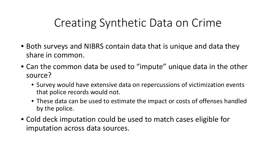#### Creating Synthetic Data on Crime

- Both surveys and NIBRS contain data that is unique and data they share in common.
- Can the common data be used to "impute" unique data in the other source?
	- Survey would have extensive data on repercussions of victimization events that police records would not.
	- These data can be used to estimate the impact or costs of offenses handled by the police.
- Cold deck imputation could be used to match cases eligible for imputation across data sources.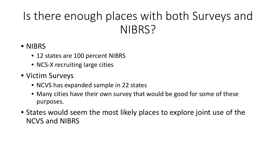## Is there enough places with both Surveys and NIBRS?

#### • NIBRS

- 12 states are 100 percent NIBRS
- NCS-X recruiting large cities
- Victim Surveys
	- NCVS has expanded sample in 22 states
	- Many cities have their own survey that would be good for some of these purposes.
- States would seem the most likely places to explore joint use of the NCVS and NIBRS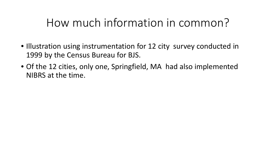#### How much information in common?

- Illustration using instrumentation for 12 city survey conducted in 1999 by the Census Bureau for BJS.
- Of the 12 cities, only one, Springfield, MA had also implemented NIBRS at the time.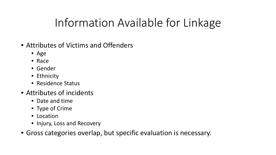#### Information Available for Linkage

- Attributes of Victims and Offenders
	- Age
	- Race
	- Gender
	- Ethnicity
	- Residence Status
- Attributes of incidents
	- Date and time
	- Type of Crime
	- Location
	- Injury, Loss and Recovery
- Gross categories overlap, but specific evaluation is necessary.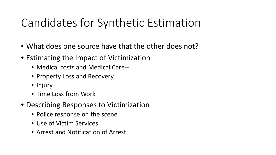## Candidates for Synthetic Estimation

- What does one source have that the other does not?
- Estimating the Impact of Victimization
	- Medical costs and Medical Care--
	- Property Loss and Recovery
	- Injury
	- Time Loss from Work
- Describing Responses to Victimization
	- Police response on the scene
	- Use of Victim Services
	- Arrest and Notification of Arrest